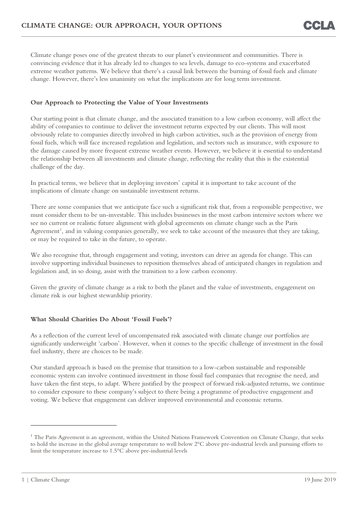Climate change poses one of the greatest threats to our planet's environment and communities. There is convincing evidence that it has already led to changes to sea levels, damage to eco-systems and exacerbated extreme weather patterns. We believe that there's a causal link between the burning of fossil fuels and climate change. However, there's less unanimity on what the implications are for long term investment.

## **Our Approach to Protecting the Value of Your Investments**

Our starting point is that climate change, and the associated transition to a low carbon economy, will affect the ability of companies to continue to deliver the investment returns expected by our clients. This will most obviously relate to companies directly involved in high carbon activities, such as the provision of energy from fossil fuels, which will face increased regulation and legislation, and sectors such as insurance, with exposure to the damage caused by more frequent extreme weather events. However, we believe it is essential to understand the relationship between all investments and climate change, reflecting the reality that this is the existential challenge of the day.

In practical terms, we believe that in deploying investors' capital it is important to take account of the implications of climate change on sustainable investment returns.

There are some companies that we anticipate face such a significant risk that, from a responsible perspective, we must consider them to be un-investable. This includes businesses in the most carbon intensive sectors where we see no current or realistic future alignment with global agreements on climate change such as the Paris Agreement<sup>[1](#page-0-0)</sup>, and in valuing companies generally, we seek to take account of the measures that they are taking, or may be required to take in the future, to operate.

We also recognise that, through engagement and voting, investors can drive an agenda for change. This can involve supporting individual businesses to reposition themselves ahead of anticipated changes in regulation and legislation and, in so doing, assist with the transition to a low carbon economy.

Given the gravity of climate change as a risk to both the planet and the value of investments, engagement on climate risk is our highest stewardship priority.

## **What Should Charities Do About 'Fossil Fuels'?**

As a reflection of the current level of uncompensated risk associated with climate change our portfolios are significantly underweight 'carbon'. However, when it comes to the specific challenge of investment in the fossil fuel industry, there are choices to be made.

Our standard approach is based on the premise that transition to a low-carbon sustainable and responsible economic system can involve continued investment in those fossil fuel companies that recognise the need, and have taken the first steps, to adapt. Where justified by the prospect of forward risk-adjusted returns, we continue to consider exposure to these company's subject to there being a programme of productive engagement and voting. We believe that engagement can deliver improved environmental and economic returns.

-

<span id="page-0-0"></span><sup>&</sup>lt;sup>1</sup> The Paris Agreement is an agreement, within the United Nations Framework Convention on Climate Change, that seeks to hold the increase in the global average temperature to well below 2°C above pre-industrial levels and pursuing efforts to limit the temperature increase to 1.5°C above pre-industrial levels